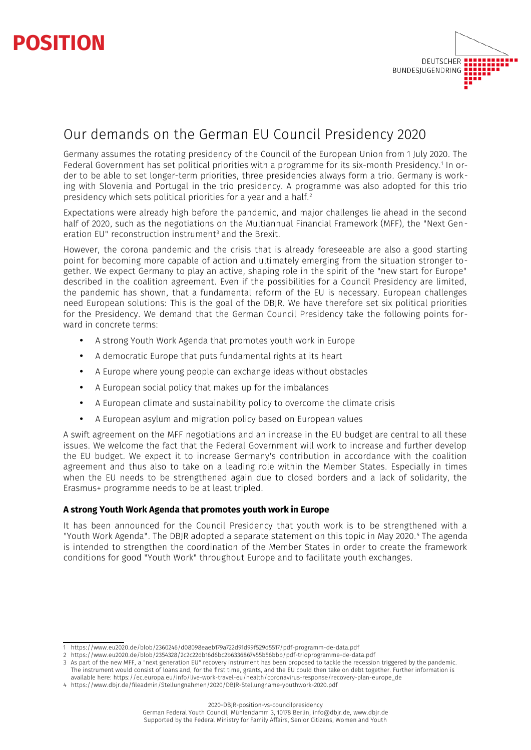# **POSITION**



# Our demands on the German EU Council Presidency 2020

Germany assumes the rotating presidency of the Council of the European Union from 1 July 2020. The Federal Government has set political priorities with a programme for its six-month Presidency.[1](#page-0-0) In order to be able to set longer-term priorities, three presidencies always form a trio. Germany is working with Slovenia and Portugal in the trio presidency. A programme was also adopted for this trio presidency which sets political priorities for a year and a half.[2](#page-0-1)

Expectations were already high before the pandemic, and major challenges lie ahead in the second half of 2020, such as the negotiations on the Multiannual Financial Framework (MFF), the "Next Gen-eration EU" reconstruction instrument<sup>[3](#page-0-2)</sup> and the Brexit.

However, the corona pandemic and the crisis that is already foreseeable are also a good starting point for becoming more capable of action and ultimately emerging from the situation stronger together. We expect Germany to play an active, shaping role in the spirit of the "new start for Europe" described in the coalition agreement. Even if the possibilities for a Council Presidency are limited, the pandemic has shown, that a fundamental reform of the EU is necessary. European challenges need European solutions: This is the goal of the DBJR. We have therefore set six political priorities for the Presidency. We demand that the German Council Presidency take the following points forward in concrete terms:

- A strong Youth Work Agenda that promotes youth work in Europe
- A democratic Europe that puts fundamental rights at its heart
- A Europe where young people can exchange ideas without obstacles
- A European social policy that makes up for the imbalances
- A European climate and sustainability policy to overcome the climate crisis
- A European asylum and migration policy based on European values

A swift agreement on the MFF negotiations and an increase in the EU budget are central to all these issues. We welcome the fact that the Federal Government will work to increase and further develop the EU budget. We expect it to increase Germany's contribution in accordance with the coalition agreement and thus also to take on a leading role within the Member States. Especially in times when the EU needs to be strengthened again due to closed borders and a lack of solidarity, the Erasmus+ programme needs to be at least tripled.

#### **A strong Youth Work Agenda that promotes youth work in Europe**

It has been announced for the Council Presidency that youth work is to be strengthened with a "Youth Work Agenda". The DBJR adopted a separate statement on this topic in May 2020. $^{\circ}$  The agenda is intended to strengthen the coordination of the Member States in order to create the framework conditions for good "Youth Work" throughout Europe and to facilitate youth exchanges.

<span id="page-0-0"></span><sup>1</sup> https://www.eu2020.de/blob/2360246/d08098eaeb179a722d91d99f529d5517/pdf-programm-de-data.pdf

<span id="page-0-1"></span><sup>2</sup> <https://www.eu2020.de/blob/2354328/2c2c22db16d6bc2b6336867455b56bbb/pdf-trioprogramme-de-data.pdf>

<span id="page-0-2"></span>As part of the new MFF, a "next generation EU" recovery instrument has been proposed to tackle the recession triggered by the pandemic. The instrument would consist of loans and, for the first time, grants, and the EU could then take on debt together. Further information is available here: https://ec.europa.eu/info/live-work-travel-eu/health/coronavirus-response/recovery-plan-europe\_de

<span id="page-0-3"></span><sup>4</sup> <https://www.dbjr.de/fileadmin/Stellungnahmen/2020/DBJR-Stellungname-youthwork-2020.pdf>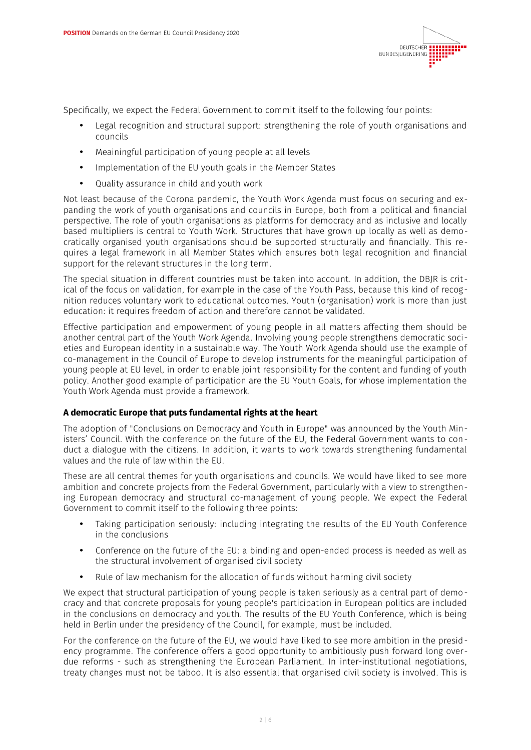

Specifically, we expect the Federal Government to commit itself to the following four points:

- Legal recognition and structural support: strengthening the role of youth organisations and councils
- Meainingful participation of young people at all levels
- Implementation of the EU youth goals in the Member States
- Ouality assurance in child and youth work

Not least because of the Corona pandemic, the Youth Work Agenda must focus on securing and expanding the work of youth organisations and councils in Europe, both from a political and financial perspective. The role of youth organisations as platforms for democracy and as inclusive and locally based multipliers is central to Youth Work. Structures that have grown up locally as well as democratically organised youth organisations should be supported structurally and financially. This requires a legal framework in all Member States which ensures both legal recognition and financial support for the relevant structures in the long term.

The special situation in different countries must be taken into account. In addition, the DBJR is critical of the focus on validation, for example in the case of the Youth Pass, because this kind of recognition reduces voluntary work to educational outcomes. Youth (organisation) work is more than just education: it requires freedom of action and therefore cannot be validated.

Effective participation and empowerment of young people in all matters affecting them should be another central part of the Youth Work Agenda. Involving young people strengthens democratic societies and European identity in a sustainable way. The Youth Work Agenda should use the example of co-management in the Council of Europe to develop instruments for the meaningful participation of young people at EU level, in order to enable joint responsibility for the content and funding of youth policy. Another good example of participation are the EU Youth Goals, for whose implementation the Youth Work Agenda must provide a framework.

## **A democratic Europe that puts fundamental rights at the heart**

The adoption of "Conclusions on Democracy and Youth in Europe" was announced by the Youth Ministers' Council. With the conference on the future of the EU, the Federal Government wants to conduct a dialogue with the citizens. In addition, it wants to work towards strengthening fundamental values and the rule of law within the EU.

These are all central themes for youth organisations and councils. We would have liked to see more ambition and concrete projects from the Federal Government, particularly with a view to strengthening European democracy and structural co-management of young people. We expect the Federal Government to commit itself to the following three points:

- Taking participation seriously: including integrating the results of the EU Youth Conference in the conclusions
- Conference on the future of the EU: a binding and open-ended process is needed as well as the structural involvement of organised civil society
- Rule of law mechanism for the allocation of funds without harming civil society

We expect that structural participation of young people is taken seriously as a central part of democracy and that concrete proposals for young people's participation in European politics are included in the conclusions on democracy and youth. The results of the EU Youth Conference, which is being held in Berlin under the presidency of the Council, for example, must be included.

For the conference on the future of the EU, we would have liked to see more ambition in the presidency programme. The conference offers a good opportunity to ambitiously push forward long overdue reforms - such as strengthening the European Parliament. In inter-institutional negotiations, treaty changes must not be taboo. It is also essential that organised civil society is involved. This is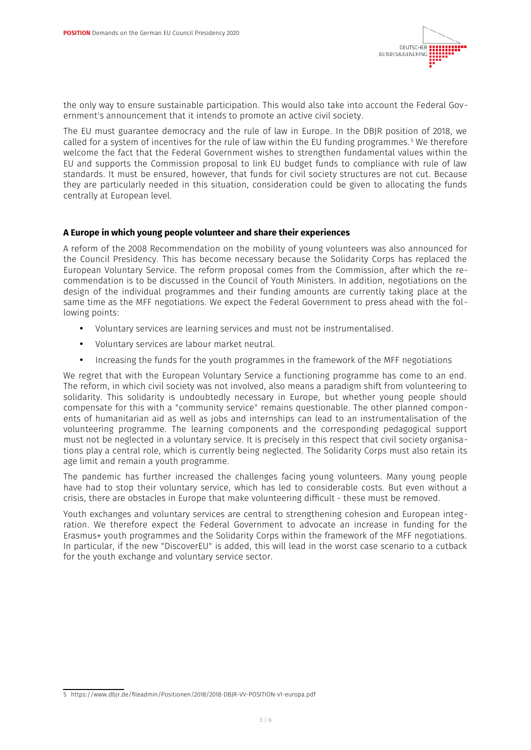

the only way to ensure sustainable participation. This would also take into account the Federal Government's announcement that it intends to promote an active civil society.

The EU must guarantee democracy and the rule of law in Europe. In the DBJR position of 2018, we called for a system of incentives for the rule of law within the EU funding programmes. $^{\mathrm{\tiny{\textup{5}}}}$  $^{\mathrm{\tiny{\textup{5}}}}$  $^{\mathrm{\tiny{\textup{5}}}}$  We therefore welcome the fact that the Federal Government wishes to strengthen fundamental values within the EU and supports the Commission proposal to link EU budget funds to compliance with rule of law standards. It must be ensured, however, that funds for civil society structures are not cut. Because they are particularly needed in this situation, consideration could be given to allocating the funds centrally at European level.

## **A Europe in which young people volunteer and share their experiences**

A reform of the 2008 Recommendation on the mobility of young volunteers was also announced for the Council Presidency. This has become necessary because the Solidarity Corps has replaced the European Voluntary Service. The reform proposal comes from the Commission, after which the recommendation is to be discussed in the Council of Youth Ministers. In addition, negotiations on the design of the individual programmes and their funding amounts are currently taking place at the same time as the MFF negotiations. We expect the Federal Government to press ahead with the following points:

- Voluntary services are learning services and must not be instrumentalised.
- Voluntary services are labour market neutral.
- Increasing the funds for the youth programmes in the framework of the MFF negotiations

We regret that with the European Voluntary Service a functioning programme has come to an end. The reform, in which civil society was not involved, also means a paradigm shift from volunteering to solidarity. This solidarity is undoubtedly necessary in Europe, but whether young people should compensate for this with a "community service" remains questionable. The other planned components of humanitarian aid as well as jobs and internships can lead to an instrumentalisation of the volunteering programme. The learning components and the corresponding pedagogical support must not be neglected in a voluntary service. It is precisely in this respect that civil society organisations play a central role, which is currently being neglected. The Solidarity Corps must also retain its age limit and remain a youth programme.

The pandemic has further increased the challenges facing young volunteers. Many young people have had to stop their voluntary service, which has led to considerable costs. But even without a crisis, there are obstacles in Europe that make volunteering difficult - these must be removed.

Youth exchanges and voluntary services are central to strengthening cohesion and European integration. We therefore expect the Federal Government to advocate an increase in funding for the Erasmus+ youth programmes and the Solidarity Corps within the framework of the MFF negotiations. In particular, if the new "DiscoverEU" is added, this will lead in the worst case scenario to a cutback for the youth exchange and voluntary service sector.

<span id="page-2-0"></span><sup>5</sup> <https://www.dbjr.de/fileadmin/Positionen/2018/2018-DBJR-VV-POSITION-v1-europa.pdf>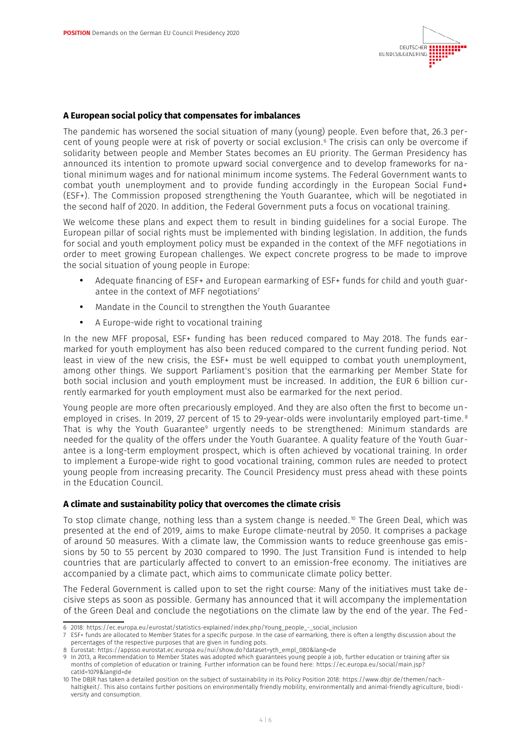

#### **A European social policy that compensates for imbalances**

The pandemic has worsened the social situation of many (young) people. Even before that, 26.3 percent of young people were at risk of poverty or social exclusion.[6](#page-3-0) The crisis can only be overcome if solidarity between people and Member States becomes an EU priority. The German Presidency has announced its intention to promote upward social convergence and to develop frameworks for national minimum wages and for national minimum income systems. The Federal Government wants to combat youth unemployment and to provide funding accordingly in the European Social Fund+ (ESF+). The Commission proposed strengthening the Youth Guarantee, which will be negotiated in the second half of 2020. In addition, the Federal Government puts a focus on vocational training.

We welcome these plans and expect them to result in binding guidelines for a social Europe. The European pillar of social rights must be implemented with binding legislation. In addition, the funds for social and youth employment policy must be expanded in the context of the MFF negotiations in order to meet growing European challenges. We expect concrete progress to be made to improve the social situation of young people in Europe:

- Adequate financing of ESF+ and European earmarking of ESF+ funds for child and youth guar-antee in the context of MFF negotiations<sup>[7](#page-3-1)</sup>
- Mandate in the Council to strengthen the Youth Guarantee
- A Europe-wide right to vocational training

In the new MFF proposal, ESF+ funding has been reduced compared to May 2018. The funds earmarked for youth employment has also been reduced compared to the current funding period. Not least in view of the new crisis, the ESF+ must be well equipped to combat youth unemployment, among other things. We support Parliament's position that the earmarking per Member State for both social inclusion and youth employment must be increased. In addition, the EUR 6 billion currently earmarked for youth employment must also be earmarked for the next period.

Young people are more often precariously employed. And they are also often the first to become un-employed in crises. In 2019, 27 percent of 15 to 29-year-olds were involuntarily employed part-time.<sup>[8](#page-3-2)</sup> That is why the Youth Guarantee<sup>[9](#page-3-3)</sup> urgently needs to be strengthened: Minimum standards are needed for the quality of the offers under the Youth Guarantee. A quality feature of the Youth Guarantee is a long-term employment prospect, which is often achieved by vocational training. In order to implement a Europe-wide right to good vocational training, common rules are needed to protect young people from increasing precarity. The Council Presidency must press ahead with these points in the Education Council.

#### **A climate and sustainability policy that overcomes the climate crisis**

To stop climate change, nothing less than a system change is needed.<sup>[10](#page-3-4)</sup> The Green Deal, which was presented at the end of 2019, aims to make Europe climate-neutral by 2050. It comprises a package of around 50 measures. With a climate law, the Commission wants to reduce greenhouse gas emissions by 50 to 55 percent by 2030 compared to 1990. The Just Transition Fund is intended to help countries that are particularly affected to convert to an emission-free economy. The initiatives are accompanied by a climate pact, which aims to communicate climate policy better.

The Federal Government is called upon to set the right course: Many of the initiatives must take decisive steps as soon as possible. Germany has announced that it will accompany the implementation of the Green Deal and conclude the negotiations on the climate law by the end of the year. The Fed-

<span id="page-3-0"></span><sup>6</sup> 2018: [https://ec.europa.eu/eurostat/statistics-explained/index.php/Young\\_people\\_-\\_social\\_inclusion](https://ec.europa.eu/eurostat/statistics-explained/index.php/Young_people_-_social_inclusion)

<span id="page-3-1"></span><sup>7</sup> ESF+ funds are allocated to Member States for a specific purpose. In the case of earmarking, there is often a lengthy discussion about the percentages of the respective purposes that are given in funding pots.

<span id="page-3-2"></span><sup>8</sup> Eurostat: https://appsso.eurostat.ec.europa.eu/nui/show.do?dataset=yth\_empl\_080&lang=de

<span id="page-3-3"></span><sup>9</sup> In 2013, a Recommendation to Member States was adopted which guarantees young people a job, further education or training after six months of completion of education or training. Further information can be found here: [https://ec.europa.eu/social/main.jsp?](https://ec.europa.eu/social/main.jsp?catId=1079&langId=de) [catId=1079&langId=de](https://ec.europa.eu/social/main.jsp?catId=1079&langId=de)

<span id="page-3-4"></span><sup>10</sup> The DBJR has taken a detailed position on the subject of sustainability in its Policy Position 2018: https://www.dbjr.de/themen/nachhaltigkeit/. This also contains further positions on environmentally friendly mobility, environmentally and animal-friendly agriculture, biodiversity and consumption.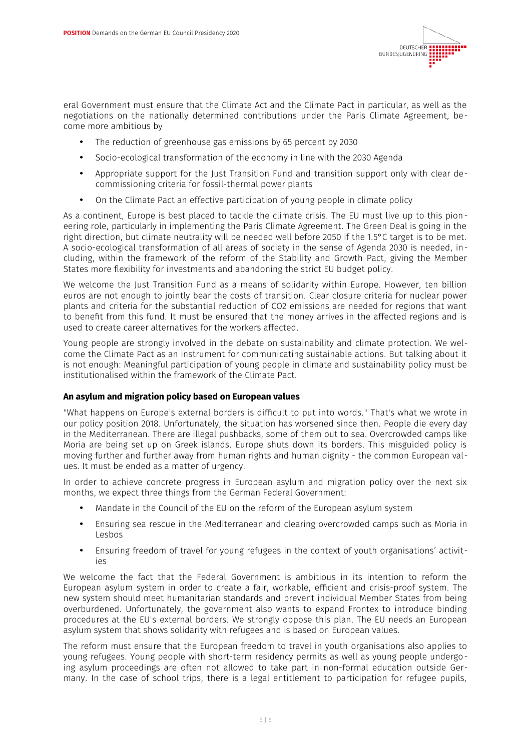

eral Government must ensure that the Climate Act and the Climate Pact in particular, as well as the negotiations on the nationally determined contributions under the Paris Climate Agreement, become more ambitious by

- The reduction of greenhouse gas emissions by 65 percent by 2030
- Socio-ecological transformation of the economy in line with the 2030 Agenda
- Appropriate support for the Just Transition Fund and transition support only with clear decommissioning criteria for fossil-thermal power plants
- On the Climate Pact an effective participation of young people in climate policy

As a continent, Europe is best placed to tackle the climate crisis. The EU must live up to this pioneering role, particularly in implementing the Paris Climate Agreement. The Green Deal is going in the right direction, but climate neutrality will be needed well before 2050 if the 1.5°C target is to be met. A socio-ecological transformation of all areas of society in the sense of Agenda 2030 is needed, including, within the framework of the reform of the Stability and Growth Pact, giving the Member States more flexibility for investments and abandoning the strict EU budget policy.

We welcome the Just Transition Fund as a means of solidarity within Europe. However, ten billion euros are not enough to jointly bear the costs of transition. Clear closure criteria for nuclear power plants and criteria for the substantial reduction of CO2 emissions are needed for regions that want to benefit from this fund. It must be ensured that the money arrives in the affected regions and is used to create career alternatives for the workers affected.

Young people are strongly involved in the debate on sustainability and climate protection. We welcome the Climate Pact as an instrument for communicating sustainable actions. But talking about it is not enough: Meaningful participation of young people in climate and sustainability policy must be institutionalised within the framework of the Climate Pact.

# **An asylum and migration policy based on European values**

"What happens on Europe's external borders is difficult to put into words." That's what we wrote in our policy position 2018. Unfortunately, the situation has worsened since then. People die every day in the Mediterranean. There are illegal pushbacks, some of them out to sea. Overcrowded camps like Moria are being set up on Greek islands. Europe shuts down its borders. This misguided policy is moving further and further away from human rights and human dignity - the common European values. It must be ended as a matter of urgency.

In order to achieve concrete progress in European asylum and migration policy over the next six months, we expect three things from the German Federal Government:

- Mandate in the Council of the EU on the reform of the European asylum system
- Ensuring sea rescue in the Mediterranean and clearing overcrowded camps such as Moria in Lesbos
- Ensuring freedom of travel for young refugees in the context of youth organisations' activities

We welcome the fact that the Federal Government is ambitious in its intention to reform the European asylum system in order to create a fair, workable, efficient and crisis-proof system. The new system should meet humanitarian standards and prevent individual Member States from being overburdened. Unfortunately, the government also wants to expand Frontex to introduce binding procedures at the EU's external borders. We strongly oppose this plan. The EU needs an European asylum system that shows solidarity with refugees and is based on European values.

The reform must ensure that the European freedom to travel in youth organisations also applies to young refugees. Young people with short-term residency permits as well as young people undergoing asylum proceedings are often not allowed to take part in non-formal education outside Germany. In the case of school trips, there is a legal entitlement to participation for refugee pupils,